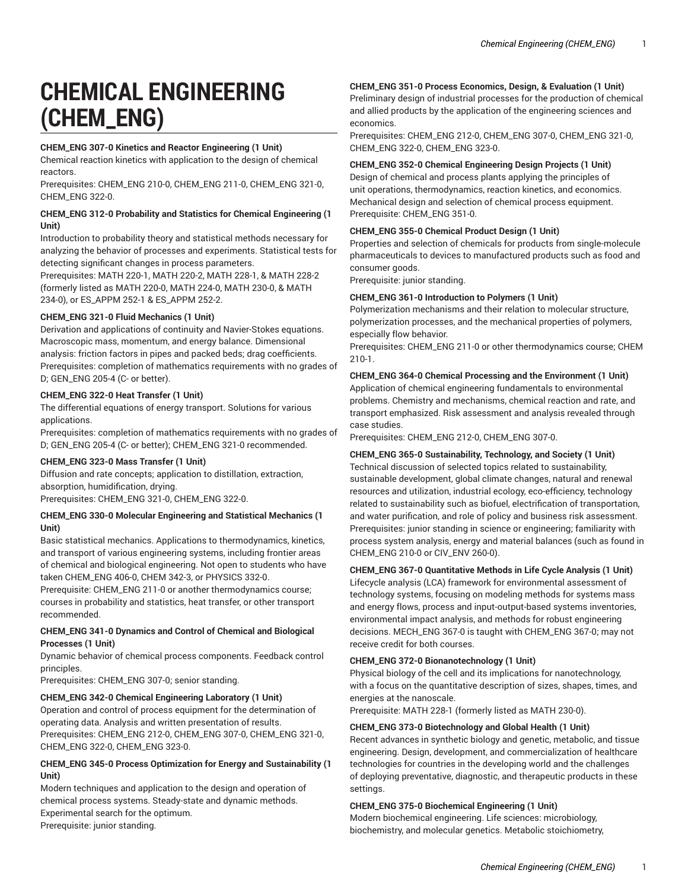# **CHEMICAL ENGINEERING (CHEM\_ENG)**

#### **CHEM\_ENG 307-0 Kinetics and Reactor Engineering (1 Unit)**

Chemical reaction kinetics with application to the design of chemical reactors.

Prerequisites: CHEM\_ENG 210-0, CHEM\_ENG 211-0, CHEM\_ENG 321-0, CHEM\_ENG 322-0.

#### **CHEM\_ENG 312-0 Probability and Statistics for Chemical Engineering (1 Unit)**

Introduction to probability theory and statistical methods necessary for analyzing the behavior of processes and experiments. Statistical tests for detecting significant changes in process parameters.

Prerequisites: MATH 220-1, MATH 220-2, MATH 228-1, & MATH 228-2 (formerly listed as MATH 220-0, MATH 224-0, MATH 230-0, & MATH 234-0), or ES\_APPM 252-1 & ES\_APPM 252-2.

#### **CHEM\_ENG 321-0 Fluid Mechanics (1 Unit)**

Derivation and applications of continuity and Navier-Stokes equations. Macroscopic mass, momentum, and energy balance. Dimensional analysis: friction factors in pipes and packed beds; drag coefficients. Prerequisites: completion of mathematics requirements with no grades of D; GEN\_ENG 205-4 (C- or better).

#### **CHEM\_ENG 322-0 Heat Transfer (1 Unit)**

The differential equations of energy transport. Solutions for various applications.

Prerequisites: completion of mathematics requirements with no grades of D; GEN\_ENG 205-4 (C- or better); CHEM\_ENG 321-0 recommended.

#### **CHEM\_ENG 323-0 Mass Transfer (1 Unit)**

Diffusion and rate concepts; application to distillation, extraction, absorption, humidification, drying. Prerequisites: CHEM\_ENG 321-0, CHEM\_ENG 322-0.

#### **CHEM\_ENG 330-0 Molecular Engineering and Statistical Mechanics (1 Unit)**

Basic statistical mechanics. Applications to thermodynamics, kinetics, and transport of various engineering systems, including frontier areas of chemical and biological engineering. Not open to students who have taken CHEM\_ENG 406-0, CHEM 342-3, or PHYSICS 332-0.

Prerequisite: CHEM\_ENG 211-0 or another thermodynamics course; courses in probability and statistics, heat transfer, or other transport recommended.

#### **CHEM\_ENG 341-0 Dynamics and Control of Chemical and Biological Processes (1 Unit)**

Dynamic behavior of chemical process components. Feedback control principles.

Prerequisites: CHEM\_ENG 307-0; senior standing.

### **CHEM\_ENG 342-0 Chemical Engineering Laboratory (1 Unit)**

Operation and control of process equipment for the determination of operating data. Analysis and written presentation of results. Prerequisites: CHEM\_ENG 212-0, CHEM\_ENG 307-0, CHEM\_ENG 321-0, CHEM\_ENG 322-0, CHEM\_ENG 323-0.

#### **CHEM\_ENG 345-0 Process Optimization for Energy and Sustainability (1 Unit)**

Modern techniques and application to the design and operation of chemical process systems. Steady-state and dynamic methods. Experimental search for the optimum. Prerequisite: junior standing.

## **CHEM\_ENG 351-0 Process Economics, Design, & Evaluation (1 Unit)**

Preliminary design of industrial processes for the production of chemical and allied products by the application of the engineering sciences and economics.

Prerequisites: CHEM\_ENG 212-0, CHEM\_ENG 307-0, CHEM\_ENG 321-0, CHEM\_ENG 322-0, CHEM\_ENG 323-0.

#### **CHEM\_ENG 352-0 Chemical Engineering Design Projects (1 Unit)**

Design of chemical and process plants applying the principles of unit operations, thermodynamics, reaction kinetics, and economics. Mechanical design and selection of chemical process equipment. Prerequisite: CHEM\_ENG 351-0.

#### **CHEM\_ENG 355-0 Chemical Product Design (1 Unit)**

Properties and selection of chemicals for products from single-molecule pharmaceuticals to devices to manufactured products such as food and consumer goods.

Prerequisite: junior standing.

# **CHEM\_ENG 361-0 Introduction to Polymers (1 Unit)**

Polymerization mechanisms and their relation to molecular structure, polymerization processes, and the mechanical properties of polymers, especially flow behavior.

Prerequisites: CHEM\_ENG 211-0 or other thermodynamics course; CHEM 210-1.

#### **CHEM\_ENG 364-0 Chemical Processing and the Environment (1 Unit)**  Application of chemical engineering fundamentals to environmental problems. Chemistry and mechanisms, chemical reaction and rate, and transport emphasized. Risk assessment and analysis revealed through case studies.

Prerequisites: CHEM\_ENG 212-0, CHEM\_ENG 307-0.

#### **CHEM\_ENG 365-0 Sustainability, Technology, and Society (1 Unit)**

Technical discussion of selected topics related to sustainability, sustainable development, global climate changes, natural and renewal resources and utilization, industrial ecology, eco-efficiency, technology related to sustainability such as biofuel, electrification of transportation, and water purification, and role of policy and business risk assessment. Prerequisites: junior standing in science or engineering; familiarity with process system analysis, energy and material balances (such as found in CHEM\_ENG 210-0 or CIV\_ENV 260-0).

#### **CHEM\_ENG 367-0 Quantitative Methods in Life Cycle Analysis (1 Unit)**

Lifecycle analysis (LCA) framework for environmental assessment of technology systems, focusing on modeling methods for systems mass and energy flows, process and input-output-based systems inventories, environmental impact analysis, and methods for robust engineering decisions. MECH\_ENG 367-0 is taught with CHEM\_ENG 367-0; may not receive credit for both courses.

#### **CHEM\_ENG 372-0 Bionanotechnology (1 Unit)**

Physical biology of the cell and its implications for nanotechnology, with a focus on the quantitative description of sizes, shapes, times, and energies at the nanoscale.

Prerequisite: MATH 228-1 (formerly listed as MATH 230-0).

#### **CHEM\_ENG 373-0 Biotechnology and Global Health (1 Unit)**

Recent advances in synthetic biology and genetic, metabolic, and tissue engineering. Design, development, and commercialization of healthcare technologies for countries in the developing world and the challenges of deploying preventative, diagnostic, and therapeutic products in these settings.

#### **CHEM\_ENG 375-0 Biochemical Engineering (1 Unit)**

Modern biochemical engineering. Life sciences: microbiology, biochemistry, and molecular genetics. Metabolic stoichiometry,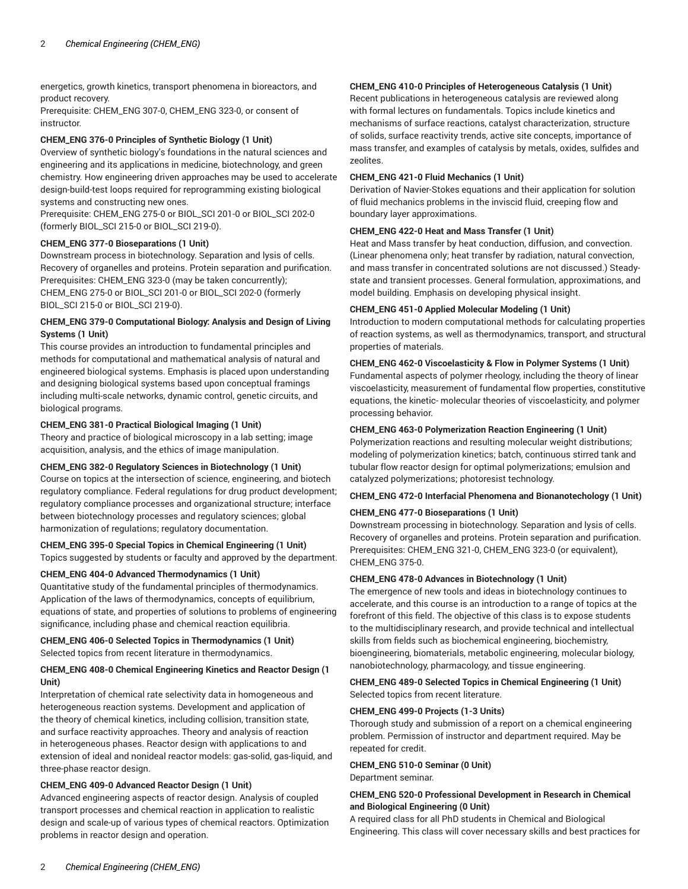energetics, growth kinetics, transport phenomena in bioreactors, and product recovery.

Prerequisite: CHEM\_ENG 307-0, CHEM\_ENG 323-0, or consent of instructor.

#### **CHEM\_ENG 376-0 Principles of Synthetic Biology (1 Unit)**

Overview of synthetic biology's foundations in the natural sciences and engineering and its applications in medicine, biotechnology, and green chemistry. How engineering driven approaches may be used to accelerate design-build-test loops required for reprogramming existing biological systems and constructing new ones.

Prerequisite: CHEM\_ENG 275-0 or BIOL\_SCI 201-0 or BIOL\_SCI 202-0 (formerly BIOL\_SCI 215-0 or BIOL\_SCI 219-0).

#### **CHEM\_ENG 377-0 Bioseparations (1 Unit)**

Downstream process in biotechnology. Separation and lysis of cells. Recovery of organelles and proteins. Protein separation and purification. Prerequisites: CHEM\_ENG 323-0 (may be taken concurrently); CHEM\_ENG 275-0 or BIOL\_SCI 201-0 or BIOL\_SCI 202-0 (formerly BIOL\_SCI 215-0 or BIOL\_SCI 219-0).

#### **CHEM\_ENG 379-0 Computational Biology: Analysis and Design of Living Systems (1 Unit)**

This course provides an introduction to fundamental principles and methods for computational and mathematical analysis of natural and engineered biological systems. Emphasis is placed upon understanding and designing biological systems based upon conceptual framings including multi-scale networks, dynamic control, genetic circuits, and biological programs.

#### **CHEM\_ENG 381-0 Practical Biological Imaging (1 Unit)**

Theory and practice of biological microscopy in a lab setting; image acquisition, analysis, and the ethics of image manipulation.

#### **CHEM\_ENG 382-0 Regulatory Sciences in Biotechnology (1 Unit)**

Course on topics at the intersection of science, engineering, and biotech regulatory compliance. Federal regulations for drug product development; regulatory compliance processes and organizational structure; interface between biotechnology processes and regulatory sciences; global harmonization of regulations; regulatory documentation.

**CHEM\_ENG 395-0 Special Topics in Chemical Engineering (1 Unit)** Topics suggested by students or faculty and approved by the department.

#### **CHEM\_ENG 404-0 Advanced Thermodynamics (1 Unit)**

Quantitative study of the fundamental principles of thermodynamics. Application of the laws of thermodynamics, concepts of equilibrium, equations of state, and properties of solutions to problems of engineering significance, including phase and chemical reaction equilibria.

#### **CHEM\_ENG 406-0 Selected Topics in Thermodynamics (1 Unit)** Selected topics from recent literature in thermodynamics.

#### **CHEM\_ENG 408-0 Chemical Engineering Kinetics and Reactor Design (1 Unit)**

Interpretation of chemical rate selectivity data in homogeneous and heterogeneous reaction systems. Development and application of the theory of chemical kinetics, including collision, transition state, and surface reactivity approaches. Theory and analysis of reaction in heterogeneous phases. Reactor design with applications to and extension of ideal and nonideal reactor models: gas-solid, gas-liquid, and three-phase reactor design.

#### **CHEM\_ENG 409-0 Advanced Reactor Design (1 Unit)**

Advanced engineering aspects of reactor design. Analysis of coupled transport processes and chemical reaction in application to realistic design and scale-up of various types of chemical reactors. Optimization problems in reactor design and operation.

#### **CHEM\_ENG 410-0 Principles of Heterogeneous Catalysis (1 Unit)**

Recent publications in heterogeneous catalysis are reviewed along with formal lectures on fundamentals. Topics include kinetics and mechanisms of surface reactions, catalyst characterization, structure of solids, surface reactivity trends, active site concepts, importance of mass transfer, and examples of catalysis by metals, oxides, sulfides and zeolites.

#### **CHEM\_ENG 421-0 Fluid Mechanics (1 Unit)**

Derivation of Navier-Stokes equations and their application for solution of fluid mechanics problems in the inviscid fluid, creeping flow and boundary layer approximations.

#### **CHEM\_ENG 422-0 Heat and Mass Transfer (1 Unit)**

Heat and Mass transfer by heat conduction, diffusion, and convection. (Linear phenomena only; heat transfer by radiation, natural convection, and mass transfer in concentrated solutions are not discussed.) Steadystate and transient processes. General formulation, approximations, and model building. Emphasis on developing physical insight.

#### **CHEM\_ENG 451-0 Applied Molecular Modeling (1 Unit)**

Introduction to modern computational methods for calculating properties of reaction systems, as well as thermodynamics, transport, and structural properties of materials.

#### **CHEM\_ENG 462-0 Viscoelasticity & Flow in Polymer Systems (1 Unit)**

Fundamental aspects of polymer rheology, including the theory of linear viscoelasticity, measurement of fundamental flow properties, constitutive equations, the kinetic- molecular theories of viscoelasticity, and polymer processing behavior.

#### **CHEM\_ENG 463-0 Polymerization Reaction Engineering (1 Unit)**

Polymerization reactions and resulting molecular weight distributions; modeling of polymerization kinetics; batch, continuous stirred tank and tubular flow reactor design for optimal polymerizations; emulsion and catalyzed polymerizations; photoresist technology.

#### **CHEM\_ENG 472-0 Interfacial Phenomena and Bionanotechology (1 Unit)**

#### **CHEM\_ENG 477-0 Bioseparations (1 Unit)**

Downstream processing in biotechnology. Separation and lysis of cells. Recovery of organelles and proteins. Protein separation and purification. Prerequisites: CHEM\_ENG 321-0, CHEM\_ENG 323-0 (or equivalent), CHEM\_ENG 375-0.

#### **CHEM\_ENG 478-0 Advances in Biotechnology (1 Unit)**

The emergence of new tools and ideas in biotechnology continues to accelerate, and this course is an introduction to a range of topics at the forefront of this field. The objective of this class is to expose students to the multidisciplinary research, and provide technical and intellectual skills from fields such as biochemical engineering, biochemistry, bioengineering, biomaterials, metabolic engineering, molecular biology, nanobiotechnology, pharmacology, and tissue engineering.

#### **CHEM\_ENG 489-0 Selected Topics in Chemical Engineering (1 Unit)** Selected topics from recent literature.

#### **CHEM\_ENG 499-0 Projects (1-3 Units)**

Thorough study and submission of a report on a chemical engineering problem. Permission of instructor and department required. May be repeated for credit.

# **CHEM\_ENG 510-0 Seminar (0 Unit)**

Department seminar.

#### **CHEM\_ENG 520-0 Professional Development in Research in Chemical and Biological Engineering (0 Unit)**

A required class for all PhD students in Chemical and Biological Engineering. This class will cover necessary skills and best practices for